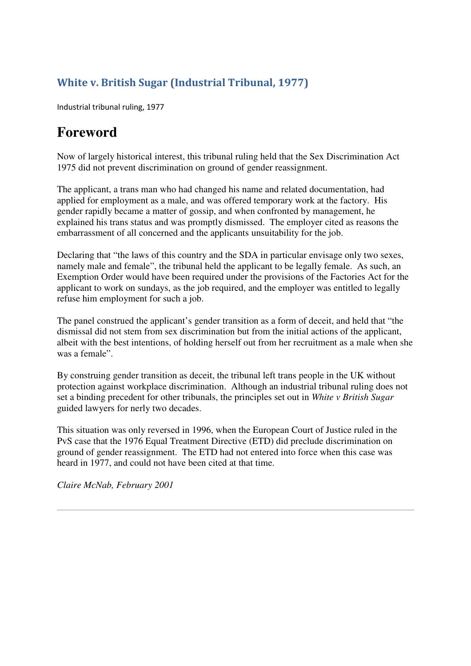## White v. British Sugar (Industrial Tribunal, 1977)

Industrial tribunal ruling, 1977

## **Foreword**

Now of largely historical interest, this tribunal ruling held that the Sex Discrimination Act 1975 did not prevent discrimination on ground of gender reassignment.

The applicant, a trans man who had changed his name and related documentation, had applied for employment as a male, and was offered temporary work at the factory. His gender rapidly became a matter of gossip, and when confronted by management, he explained his trans status and was promptly dismissed. The employer cited as reasons the embarrassment of all concerned and the applicants unsuitability for the job.

Declaring that "the laws of this country and the SDA in particular envisage only two sexes, namely male and female", the tribunal held the applicant to be legally female. As such, an Exemption Order would have been required under the provisions of the Factories Act for the applicant to work on sundays, as the job required, and the employer was entitled to legally refuse him employment for such a job.

The panel construed the applicant's gender transition as a form of deceit, and held that "the dismissal did not stem from sex discrimination but from the initial actions of the applicant, albeit with the best intentions, of holding herself out from her recruitment as a male when she was a female".

By construing gender transition as deceit, the tribunal left trans people in the UK without protection against workplace discrimination. Although an industrial tribunal ruling does not set a binding precedent for other tribunals, the principles set out in *White v British Sugar* guided lawyers for nerly two decades.

This situation was only reversed in 1996, when the European Court of Justice ruled in the PvS case that the 1976 Equal Treatment Directive (ETD) did preclude discrimination on ground of gender reassignment. The ETD had not entered into force when this case was heard in 1977, and could not have been cited at that time.

*Claire McNab, February 2001*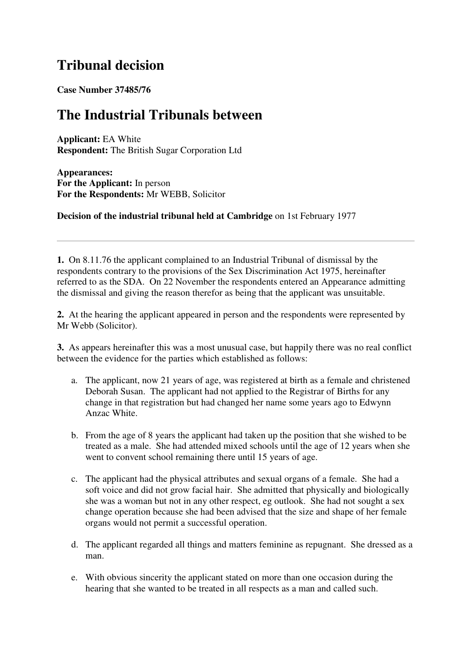## **Tribunal decision**

**Case Number 37485/76**

## **The Industrial Tribunals between**

**Applicant:** EA White **Respondent:** The British Sugar Corporation Ltd

**Appearances: For the Applicant:** In person **For the Respondents:** Mr WEBB, Solicitor

**Decision of the industrial tribunal held at Cambridge** on 1st February 1977

**1.** On 8.11.76 the applicant complained to an Industrial Tribunal of dismissal by the respondents contrary to the provisions of the Sex Discrimination Act 1975, hereinafter referred to as the SDA. On 22 November the respondents entered an Appearance admitting the dismissal and giving the reason therefor as being that the applicant was unsuitable.

**2.** At the hearing the applicant appeared in person and the respondents were represented by Mr Webb (Solicitor).

**3.** As appears hereinafter this was a most unusual case, but happily there was no real conflict between the evidence for the parties which established as follows:

- a. The applicant, now 21 years of age, was registered at birth as a female and christened Deborah Susan. The applicant had not applied to the Registrar of Births for any change in that registration but had changed her name some years ago to Edwynn Anzac White.
- b. From the age of 8 years the applicant had taken up the position that she wished to be treated as a male. She had attended mixed schools until the age of 12 years when she went to convent school remaining there until 15 years of age.
- c. The applicant had the physical attributes and sexual organs of a female. She had a soft voice and did not grow facial hair. She admitted that physically and biologically she was a woman but not in any other respect, eg outlook. She had not sought a sex change operation because she had been advised that the size and shape of her female organs would not permit a successful operation.
- d. The applicant regarded all things and matters feminine as repugnant. She dressed as a man.
- e. With obvious sincerity the applicant stated on more than one occasion during the hearing that she wanted to be treated in all respects as a man and called such.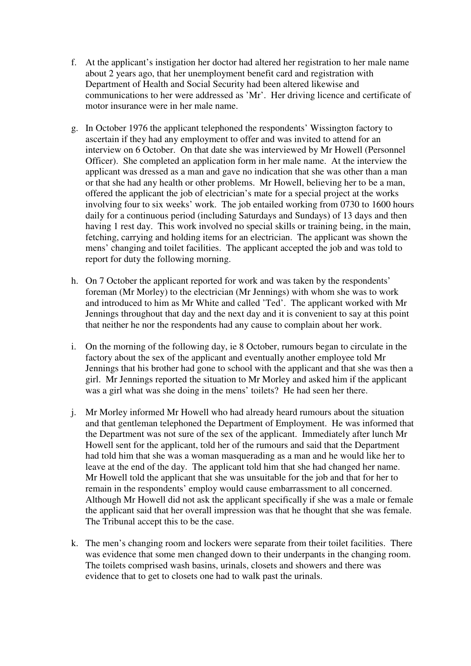- f. At the applicant's instigation her doctor had altered her registration to her male name about 2 years ago, that her unemployment benefit card and registration with Department of Health and Social Security had been altered likewise and communications to her were addressed as 'Mr'. Her driving licence and certificate of motor insurance were in her male name.
- g. In October 1976 the applicant telephoned the respondents' Wissington factory to ascertain if they had any employment to offer and was invited to attend for an interview on 6 October. On that date she was interviewed by Mr Howell (Personnel Officer). She completed an application form in her male name. At the interview the applicant was dressed as a man and gave no indication that she was other than a man or that she had any health or other problems. Mr Howell, believing her to be a man, offered the applicant the job of electrician's mate for a special project at the works involving four to six weeks' work. The job entailed working from 0730 to 1600 hours daily for a continuous period (including Saturdays and Sundays) of 13 days and then having 1 rest day. This work involved no special skills or training being, in the main, fetching, carrying and holding items for an electrician. The applicant was shown the mens' changing and toilet facilities. The applicant accepted the job and was told to report for duty the following morning.
- h. On 7 October the applicant reported for work and was taken by the respondents' foreman (Mr Morley) to the electrician (Mr Jennings) with whom she was to work and introduced to him as Mr White and called 'Ted'. The applicant worked with Mr Jennings throughout that day and the next day and it is convenient to say at this point that neither he nor the respondents had any cause to complain about her work.
- i. On the morning of the following day, ie 8 October, rumours began to circulate in the factory about the sex of the applicant and eventually another employee told Mr Jennings that his brother had gone to school with the applicant and that she was then a girl. Mr Jennings reported the situation to Mr Morley and asked him if the applicant was a girl what was she doing in the mens' toilets? He had seen her there.
- j. Mr Morley informed Mr Howell who had already heard rumours about the situation and that gentleman telephoned the Department of Employment. He was informed that the Department was not sure of the sex of the applicant. Immediately after lunch Mr Howell sent for the applicant, told her of the rumours and said that the Department had told him that she was a woman masquerading as a man and he would like her to leave at the end of the day. The applicant told him that she had changed her name. Mr Howell told the applicant that she was unsuitable for the job and that for her to remain in the respondents' employ would cause embarrassment to all concerned. Although Mr Howell did not ask the applicant specifically if she was a male or female the applicant said that her overall impression was that he thought that she was female. The Tribunal accept this to be the case.
- k. The men's changing room and lockers were separate from their toilet facilities. There was evidence that some men changed down to their underpants in the changing room. The toilets comprised wash basins, urinals, closets and showers and there was evidence that to get to closets one had to walk past the urinals.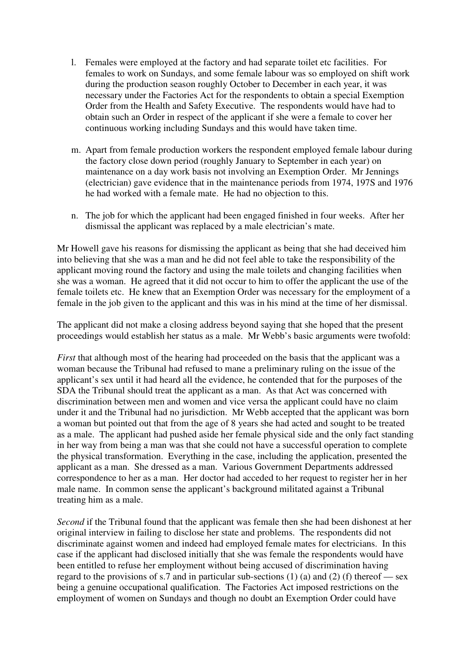- l. Females were employed at the factory and had separate toilet etc facilities. For females to work on Sundays, and some female labour was so employed on shift work during the production season roughly October to December in each year, it was necessary under the Factories Act for the respondents to obtain a special Exemption Order from the Health and Safety Executive. The respondents would have had to obtain such an Order in respect of the applicant if she were a female to cover her continuous working including Sundays and this would have taken time.
- m. Apart from female production workers the respondent employed female labour during the factory close down period (roughly January to September in each year) on maintenance on a day work basis not involving an Exemption Order. Mr Jennings (electrician) gave evidence that in the maintenance periods from 1974, 197S and 1976 he had worked with a female mate. He had no objection to this.
- n. The job for which the applicant had been engaged finished in four weeks. After her dismissal the applicant was replaced by a male electrician's mate.

Mr Howell gave his reasons for dismissing the applicant as being that she had deceived him into believing that she was a man and he did not feel able to take the responsibility of the applicant moving round the factory and using the male toilets and changing facilities when she was a woman. He agreed that it did not occur to him to offer the applicant the use of the female toilets etc. He knew that an Exemption Order was necessary for the employment of a female in the job given to the applicant and this was in his mind at the time of her dismissal.

The applicant did not make a closing address beyond saying that she hoped that the present proceedings would establish her status as a male. Mr Webb's basic arguments were twofold:

*First* that although most of the hearing had proceeded on the basis that the applicant was a woman because the Tribunal had refused to mane a preliminary ruling on the issue of the applicant's sex until it had heard all the evidence, he contended that for the purposes of the SDA the Tribunal should treat the applicant as a man. As that Act was concerned with discrimination between men and women and vice versa the applicant could have no claim under it and the Tribunal had no jurisdiction. Mr Webb accepted that the applicant was born a woman but pointed out that from the age of 8 years she had acted and sought to be treated as a male. The applicant had pushed aside her female physical side and the only fact standing in her way from being a man was that she could not have a successful operation to complete the physical transformation. Everything in the case, including the application, presented the applicant as a man. She dressed as a man. Various Government Departments addressed correspondence to her as a man. Her doctor had acceded to her request to register her in her male name. In common sense the applicant's background militated against a Tribunal treating him as a male.

*Second* if the Tribunal found that the applicant was female then she had been dishonest at her original interview in failing to disclose her state and problems. The respondents did not discriminate against women and indeed had employed female mates for electricians. In this case if the applicant had disclosed initially that she was female the respondents would have been entitled to refuse her employment without being accused of discrimination having regard to the provisions of s.7 and in particular sub-sections (1) (a) and (2) (f) thereof — sex being a genuine occupational qualification. The Factories Act imposed restrictions on the employment of women on Sundays and though no doubt an Exemption Order could have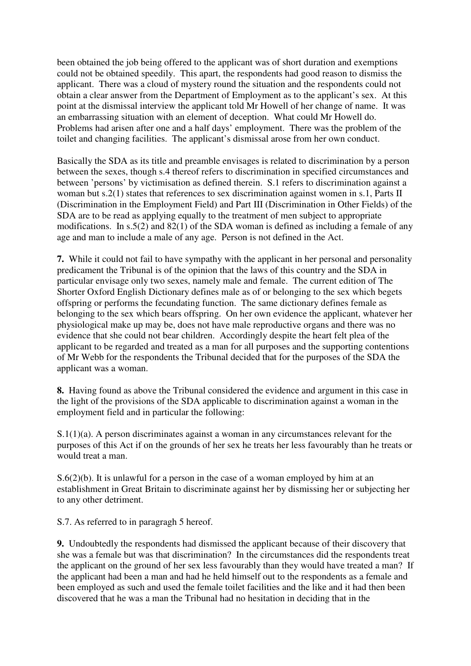been obtained the job being offered to the applicant was of short duration and exemptions could not be obtained speedily. This apart, the respondents had good reason to dismiss the applicant. There was a cloud of mystery round the situation and the respondents could not obtain a clear answer from the Department of Employment as to the applicant's sex. At this point at the dismissal interview the applicant told Mr Howell of her change of name. It was an embarrassing situation with an element of deception. What could Mr Howell do. Problems had arisen after one and a half days' employment. There was the problem of the toilet and changing facilities. The applicant's dismissal arose from her own conduct.

Basically the SDA as its title and preamble envisages is related to discrimination by a person between the sexes, though s.4 thereof refers to discrimination in specified circumstances and between 'persons' by victimisation as defined therein. S.1 refers to discrimination against a woman but s.2(1) states that references to sex discrimination against women in s.1, Parts II (Discrimination in the Employment Field) and Part III (Discrimination in Other Fields) of the SDA are to be read as applying equally to the treatment of men subject to appropriate modifications. In  $s.5(2)$  and  $82(1)$  of the SDA woman is defined as including a female of any age and man to include a male of any age. Person is not defined in the Act.

**7.** While it could not fail to have sympathy with the applicant in her personal and personality predicament the Tribunal is of the opinion that the laws of this country and the SDA in particular envisage only two sexes, namely male and female. The current edition of The Shorter Oxford English Dictionary defines male as of or belonging to the sex which begets offspring or performs the fecundating function. The same dictionary defines female as belonging to the sex which bears offspring. On her own evidence the applicant, whatever her physiological make up may be, does not have male reproductive organs and there was no evidence that she could not bear children. Accordingly despite the heart felt plea of the applicant to be regarded and treated as a man for all purposes and the supporting contentions of Mr Webb for the respondents the Tribunal decided that for the purposes of the SDA the applicant was a woman.

**8.** Having found as above the Tribunal considered the evidence and argument in this case in the light of the provisions of the SDA applicable to discrimination against a woman in the employment field and in particular the following:

S.1(1)(a). A person discriminates against a woman in any circumstances relevant for the purposes of this Act if on the grounds of her sex he treats her less favourably than he treats or would treat a man.

S.6(2)(b). It is unlawful for a person in the case of a woman employed by him at an establishment in Great Britain to discriminate against her by dismissing her or subjecting her to any other detriment.

S.7. As referred to in paragragh 5 hereof.

**9.** Undoubtedly the respondents had dismissed the applicant because of their discovery that she was a female but was that discrimination? In the circumstances did the respondents treat the applicant on the ground of her sex less favourably than they would have treated a man? If the applicant had been a man and had he held himself out to the respondents as a female and been employed as such and used the female toilet facilities and the like and it had then been discovered that he was a man the Tribunal had no hesitation in deciding that in the